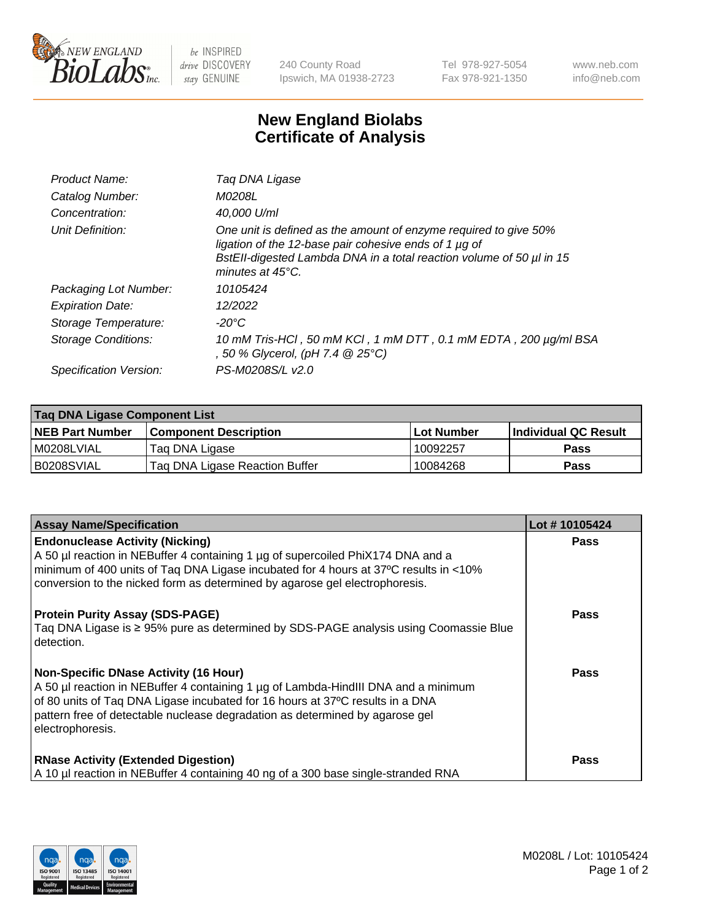

 $be$  INSPIRED drive DISCOVERY stay GENUINE

240 County Road Ipswich, MA 01938-2723 Tel 978-927-5054 Fax 978-921-1350 www.neb.com info@neb.com

## **New England Biolabs Certificate of Analysis**

| Product Name:           | Taq DNA Ligase                                                                                                                                                                                                                  |
|-------------------------|---------------------------------------------------------------------------------------------------------------------------------------------------------------------------------------------------------------------------------|
| Catalog Number:         | M0208L                                                                                                                                                                                                                          |
| Concentration:          | 40.000 U/ml                                                                                                                                                                                                                     |
| Unit Definition:        | One unit is defined as the amount of enzyme required to give 50%<br>ligation of the 12-base pair cohesive ends of 1 µg of<br>BstEll-digested Lambda DNA in a total reaction volume of 50 µl in 15<br>minutes at $45^{\circ}$ C. |
| Packaging Lot Number:   | 10105424                                                                                                                                                                                                                        |
| <b>Expiration Date:</b> | 12/2022                                                                                                                                                                                                                         |
| Storage Temperature:    | -20°C                                                                                                                                                                                                                           |
| Storage Conditions:     | 10 mM Tris-HCl, 50 mM KCl, 1 mM DTT, 0.1 mM EDTA, 200 µg/ml BSA<br>, 50 % Glycerol, (pH 7.4 @ 25°C)                                                                                                                             |
| Specification Version:  | PS-M0208S/L v2.0                                                                                                                                                                                                                |

| Taq DNA Ligase Component List |                                |                   |                      |  |
|-------------------------------|--------------------------------|-------------------|----------------------|--|
| NEB Part Number               | <b>Component Description</b>   | <b>Lot Number</b> | Individual QC Result |  |
| M0208LVIAL                    | Tag DNA Ligase                 | 10092257          | <b>Pass</b>          |  |
| B0208SVIAL                    | Tag DNA Ligase Reaction Buffer | 10084268          | Pass                 |  |

| <b>Assay Name/Specification</b>                                                                                                                                                                                                                                                                                         | Lot #10105424 |
|-------------------------------------------------------------------------------------------------------------------------------------------------------------------------------------------------------------------------------------------------------------------------------------------------------------------------|---------------|
| <b>Endonuclease Activity (Nicking)</b><br>A 50 µl reaction in NEBuffer 4 containing 1 µg of supercoiled PhiX174 DNA and a<br>minimum of 400 units of Taq DNA Ligase incubated for 4 hours at 37°C results in <10%<br>conversion to the nicked form as determined by agarose gel electrophoresis.                        | <b>Pass</b>   |
| <b>Protein Purity Assay (SDS-PAGE)</b><br>Tag DNA Ligase is ≥ 95% pure as determined by SDS-PAGE analysis using Coomassie Blue<br>detection.                                                                                                                                                                            | <b>Pass</b>   |
| <b>Non-Specific DNase Activity (16 Hour)</b><br>A 50 µl reaction in NEBuffer 4 containing 1 µg of Lambda-HindIII DNA and a minimum<br>of 80 units of Taq DNA Ligase incubated for 16 hours at 37°C results in a DNA<br>pattern free of detectable nuclease degradation as determined by agarose gel<br>electrophoresis. | Pass          |
| <b>RNase Activity (Extended Digestion)</b><br>A 10 µl reaction in NEBuffer 4 containing 40 ng of a 300 base single-stranded RNA                                                                                                                                                                                         | <b>Pass</b>   |